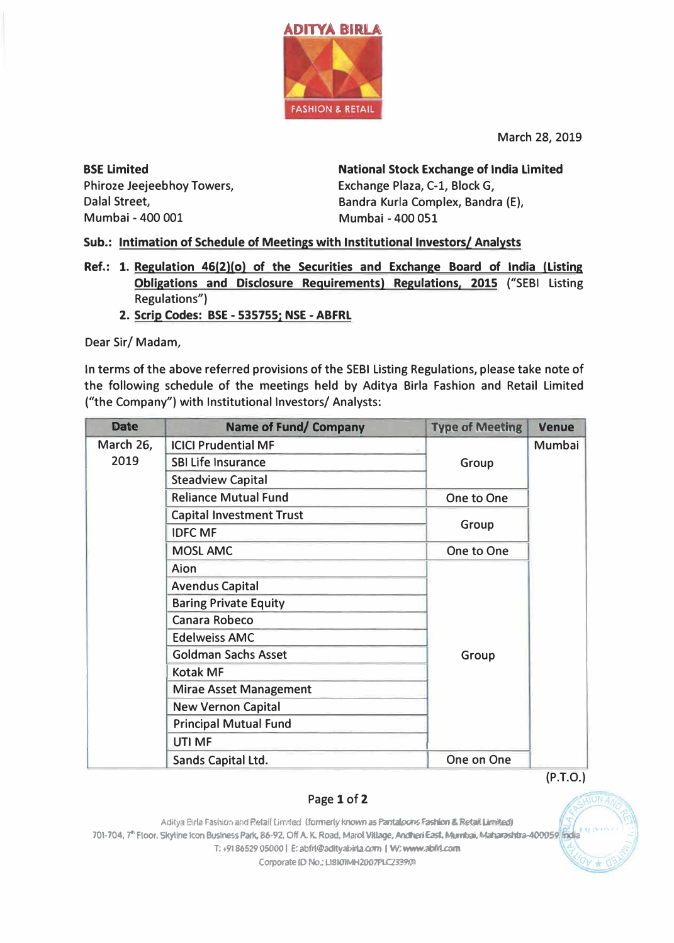

March 28, 2019

**BSE Limited** Phiroze Jeejeebhoy Towers, Dalal Street. Mumbai - 400 001

**National Stock Exchange of India Limited** Exchange Plaza, C-1, Block G, Bandra Kurla Complex, Bandra (E), Mumbai - 400 051

Sub.: Intimation of Schedule of Meetings with Institutional Investors/ Analysts

- Ref.: 1. Regulation 46(2)(o) of the Securities and Exchange Board of India (Listing Obligations and Disclosure Requirements) Regulations, 2015 ("SEBI Listing Regulations")
	- 2. Scrip Codes: BSE 535755; NSE ABFRL

Dear Sir/Madam,

In terms of the above referred provisions of the SEBI Listing Regulations, please take note of the following schedule of the meetings held by Aditya Birla Fashion and Retail Limited ("the Company") with Institutional Investors/ Analysts:

| <b>Date</b>       | <b>Name of Fund/ Company</b>    | <b>Type of Meeting</b> | Venue  |
|-------------------|---------------------------------|------------------------|--------|
| March 26,<br>2019 | <b>ICICI Prudential MF</b>      |                        | Mumbai |
|                   | <b>SBI Life Insurance</b>       | Group                  |        |
|                   | <b>Steadview Capital</b>        |                        |        |
|                   | <b>Reliance Mutual Fund</b>     | One to One             |        |
|                   | <b>Capital Investment Trust</b> |                        |        |
|                   | <b>IDFC MF</b>                  | Group                  |        |
|                   | <b>MOSL AMC</b>                 | One to One             |        |
|                   | Aion                            |                        |        |
|                   | <b>Avendus Capital</b>          |                        |        |
|                   | <b>Baring Private Equity</b>    |                        |        |
|                   | Canara Robeco                   |                        |        |
|                   | <b>Edelweiss AMC</b>            |                        |        |
|                   | <b>Goldman Sachs Asset</b>      | Group                  |        |
|                   | <b>Kotak MF</b>                 |                        |        |
|                   | <b>Mirae Asset Management</b>   |                        |        |
|                   | <b>New Vernon Capital</b>       |                        |        |
|                   | <b>Principal Mutual Fund</b>    |                        |        |
|                   | UTI MF                          |                        |        |
|                   | Sands Capital Ltd.              | One on One             |        |

 $(P.T.O.)$ 

## Page 1 of 2

Aditya Birla Fashion and Retail Limited (formerly known as Pantaloons Fashion & Retail Limited) 701-704, 7<sup>th</sup> Floor, Skyline Icon Business Park, 86-92, Off A. K. Road, Marol Village, Andheri East, Murnbai, Maharashtra-400059 fridia T: +91 86529 05000 | E: abfri@adityabirla.com | W: www.abfri.com Corporate ID No.: L18101MH2007PLC233901